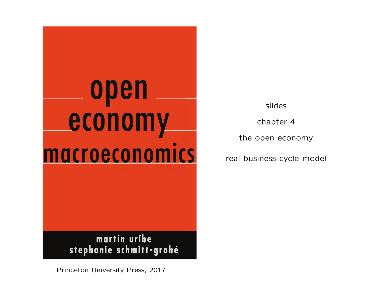

slides

chapter 4

the open economy

real-business-cycle model

Princeton University Press, 2017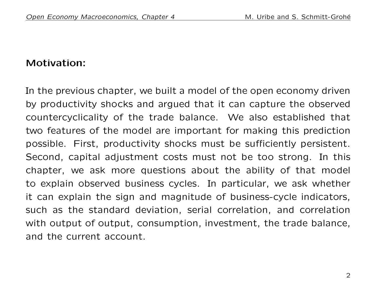## Motivation:

In the previous chapter, we built a model of the open economy driven by productivity shocks and argued that it can capture the observed countercyclicality of the trade balance. We also established that two features of the model are important for making this prediction possible. First, productivity shocks must be sufficiently persistent. Second, capital adjustment costs must not be too strong. In this chapter, we ask more questions about the ability of that model to explain observed business cycles. In particular, we ask whether it can explain the sign and magnitude of business-cycle indicators, such as the standard deviation, serial correlation, and correlation with output of output, consumption, investment, the trade balance, and the current account.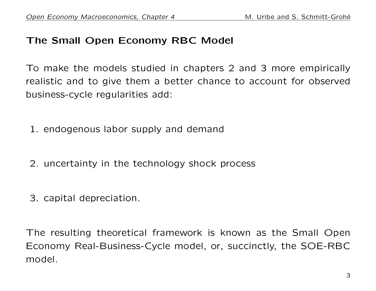## The Small Open Economy RBC Model

To make the models studied in chapters 2 and 3 more empirically realistic and to give them a better chance to account for observed business-cycle regularities add:

- 1. endogenous labor supply and demand
- 2. uncertainty in the technology shock process
- 3. capital depreciation.

The resulting theoretical framework is known as the Small Open Economy Real-Business-Cycle model, or, succinctly, the SOE-RBC model.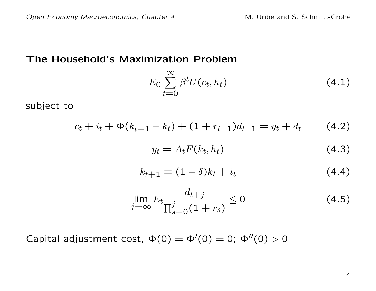### The Household's Maximization Problem

$$
E_0 \sum_{t=0}^{\infty} \beta^t U(c_t, h_t)
$$
\n(4.1)

subject to

$$
c_t + i_t + \Phi(k_{t+1} - k_t) + (1 + r_{t-1})d_{t-1} = y_t + d_t \tag{4.2}
$$

$$
y_t = A_t F(k_t, h_t) \tag{4.3}
$$

$$
k_{t+1} = (1 - \delta)k_t + i_t \tag{4.4}
$$

$$
\lim_{j \to \infty} E_t \frac{d_{t+j}}{\prod_{s=0}^j (1+r_s)} \le 0 \tag{4.5}
$$

Capital adjustment cost,  $\Phi(0) = \Phi'(0) = 0$ ;  $\Phi''(0) > 0$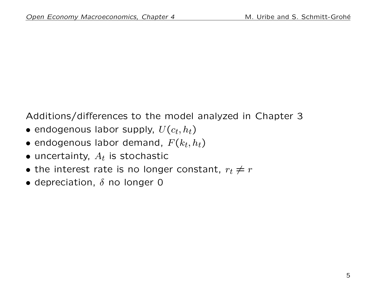Additions/differences to the model analyzed in Chapter 3

- $\bullet$  endogenous labor supply,  $U(c_t, h_t)$
- $\bullet$  endogenous labor demand,  $F(k_t,h_t)$
- $\bullet$  uncertainty,  $A_t$  is stochastic
- the interest rate is no longer constant,  $r_t \neq r$
- depreciation,  $\delta$  no longer 0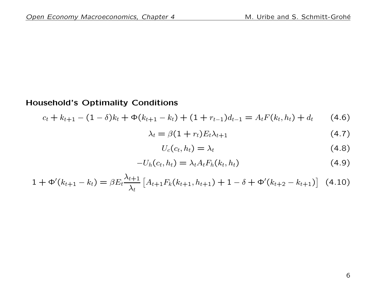#### Household's Optimality Conditions

$$
c_t + k_{t+1} - (1 - \delta)k_t + \Phi(k_{t+1} - k_t) + (1 + r_{t-1})d_{t-1} = A_t F(k_t, h_t) + d_t \qquad (4.6)
$$

$$
\lambda_t = \beta (1 + r_t) E_t \lambda_{t+1} \tag{4.7}
$$

$$
U_c(c_t, h_t) = \lambda_t \tag{4.8}
$$

$$
-U_h(c_t, h_t) = \lambda_t A_t F_h(k_t, h_t)
$$
\n(4.9)

$$
1 + \Phi'(k_{t+1} - k_t) = \beta E_t \frac{\lambda_{t+1}}{\lambda_t} \left[ A_{t+1} F_k(k_{t+1}, h_{t+1}) + 1 - \delta + \Phi'(k_{t+2} - k_{t+1}) \right]
$$
(4.10)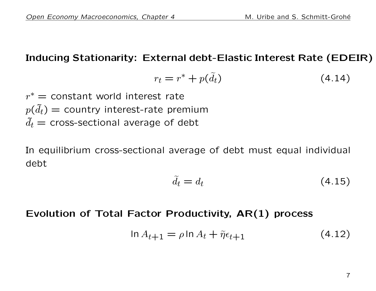### Inducing Stationarity: External debt-Elastic Interest Rate (EDEIR)

$$
r_t = r^* + p(\tilde{d}_t) \tag{4.14}
$$

 $r^* =$  constant world interest rate  $p(\tilde{d}_t)$  = country interest-rate premium  $d_t$  = cross-sectional average of debt

In equilibrium cross-sectional average of debt must equal individual debt

$$
\tilde{d}_t = d_t \tag{4.15}
$$

## Evolution of Total Factor Productivity, AR(1) process

$$
\ln A_{t+1} = \rho \ln A_t + \tilde{\eta} \epsilon_{t+1} \tag{4.12}
$$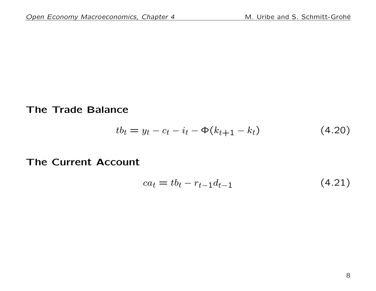The Trade Balance

$$
tb_t = y_t - c_t - i_t - \Phi(k_{t+1} - k_t)
$$
 (4.20)

#### The Current Account

$$
ca_t = tb_t - r_{t-1}d_{t-1} \tag{4.21}
$$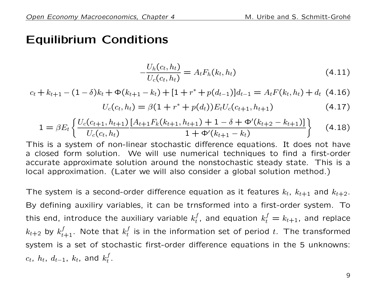## Equilibrium Conditions

$$
-\frac{U_h(c_t, h_t)}{U_c(c_t, h_t)} = A_t F_h(k_t, h_t)
$$
\n(4.11)

$$
c_t + k_{t+1} - (1 - \delta)k_t + \Phi(k_{t+1} - k_t) + [1 + r^* + p(d_{t-1})]d_{t-1} = A_t F(k_t, h_t) + d_t (4.16)
$$

$$
U_c(c_t, h_t) = \beta(1 + r^* + p(d_t))E_tU_c(c_{t+1}, h_{t+1})
$$
\n(4.17)

$$
1 = \beta E_t \left\{ \frac{U_c(c_{t+1}, h_{t+1}) \left[ A_{t+1} F_k(k_{t+1}, h_{t+1}) + 1 - \delta + \Phi'(k_{t+2} - k_{t+1}) \right]}{1 + \Phi'(k_{t+1} - k_t)} \right\}
$$
(4.18)

This is a system of non-linear stochastic difference equations. It does not have a closed form solution. We will use numerical techniques to find a first-order accurate approximate solution around the nonstochastic steady state. This is a local approximation. (Later we will also consider a global solution method.)

The system is a second-order difference equation as it features  $k_t$ ,  $k_{t+1}$  and  $k_{t+2}$ . By defining auxiliry variables, it can be trnsformed into a first-order system. To this end, introduce the auxiliary variable  $k_t^f$  $t_{t}^{f}$ , and equation  $k_{t}^{f} = k_{t+1}$ , and replace  $k_{t+2}$  by  $k_{t+1}^f.$  Note that  $k_t^f$  $_t^J$  is in the information set of period  $t$ . The transformed system is a set of stochastic first-order difference equations in the 5 unknowns:  $c_t, \ h_t, \ d_{t-1}, \ k_t, \ \textsf{and} \ k^f_t$  $\frac{J}{t}$  .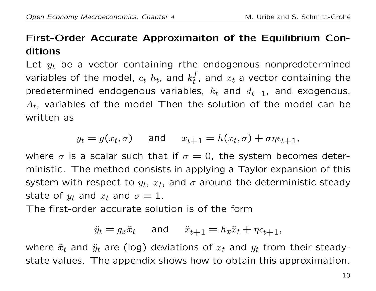## First-Order Accurate Approximaiton of the Equilibrium Conditions

Let  $y_t$  be a vector containing rthe endogenous nonpredetermined variables of the model,  $c_t$   $h_t$ , and  $k_t^f$  $t_{t}^{J}$ , and  $x_{t}$  a vector containing the predetermined endogenous variables,  $k_t$  and  $d_{t-1}$ , and exogenous,  $A_t$ , variables of the model Then the solution of the model can be written as

$$
y_t = g(x_t, \sigma)
$$
 and  $x_{t+1} = h(x_t, \sigma) + \sigma \eta \epsilon_{t+1}$ ,

where  $\sigma$  is a scalar such that if  $\sigma = 0$ , the system becomes deterministic. The method consists in applying a Taylor expansion of this system with respect to  $y_t$ ,  $x_t$ , and  $\sigma$  around the deterministic steady state of  $y_t$  and  $x_t$  and  $\sigma = 1$ .

The first-order accurate solution is of the form

$$
\hat{y}_t = g_x \hat{x}_t \quad \text{and} \quad \hat{x}_{t+1} = h_x \hat{x}_t + \eta \epsilon_{t+1},
$$

where  $\hat{x}_t$  and  $\hat{y}_t$  are (log) deviations of  $x_t$  and  $y_t$  from their steadystate values. The appendix shows how to obtain this approximation.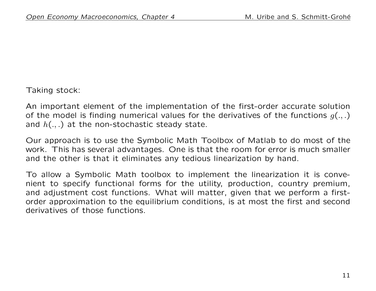#### Taking stock:

An important element of the implementation of the first-order accurate solution of the model is finding numerical values for the derivatives of the functions  $q(.,.)$ and  $h(.,.)$  at the non-stochastic steady state.

Our approach is to use the Symbolic Math Toolbox of Matlab to do most of the work. This has several advantages. One is that the room for error is much smaller and the other is that it eliminates any tedious linearization by hand.

To allow a Symbolic Math toolbox to implement the linearization it is convenient to specify functional forms for the utility, production, country premium, and adjustment cost functions. What will matter, given that we perform a firstorder approximation to the equilibrium conditions, is at most the first and second derivatives of those functions.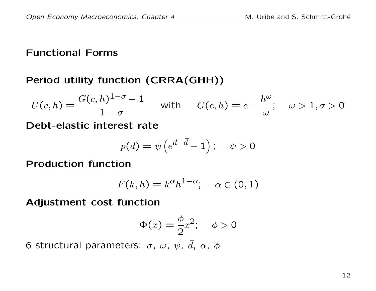## Functional Forms

## Period utility function (CRRA(GHH))

$$
U(c,h) = \frac{G(c,h)^{1-\sigma}-1}{1-\sigma} \quad \text{with} \quad G(c,h) = c - \frac{h^{\omega}}{\omega}; \quad \omega > 1, \sigma > 0
$$

Debt-elastic interest rate

$$
p(d) = \psi\left(e^{d-\bar{d}} - 1\right); \quad \psi > 0
$$

Production function

$$
F(k, h) = k^{\alpha} h^{1-\alpha}; \quad \alpha \in (0, 1)
$$

Adjustment cost function

$$
\Phi(x) = \frac{\phi}{2}x^2; \quad \phi > 0
$$

6 structural parameters:  $\sigma$ ,  $\omega$ ,  $\psi$ ,  $\bar{d}$ ,  $\alpha$ ,  $\phi$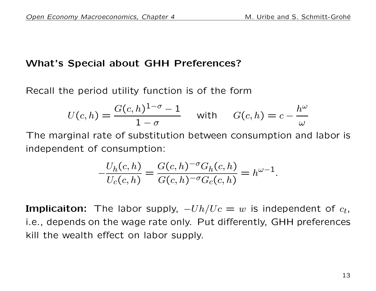## What's Special about GHH Preferences?

Recall the period utility function is of the form

$$
U(c,h) = \frac{G(c,h)^{1-\sigma}-1}{1-\sigma} \quad \text{with} \quad G(c,h) = c - \frac{h^{\omega}}{\omega}
$$

The marginal rate of substitution between consumption and labor is independent of consumption:

$$
-\frac{U_h(c,h)}{U_c(c,h)} = \frac{G(c,h)^{-\sigma}G_h(c,h)}{G(c,h)^{-\sigma}G_c(c,h)} = h^{\omega - 1}.
$$

**Implicaiton:** The labor supply,  $-Uh/Uc = w$  is independent of  $c_t$ , i.e., depends on the wage rate only. Put differently, GHH preferences kill the wealth effect on labor supply.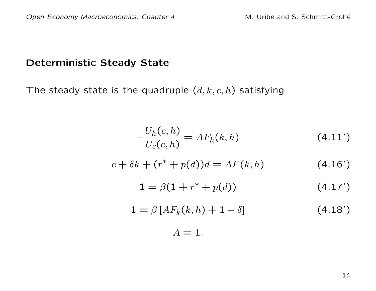### Deterministic Steady State

The steady state is the quadruple  $(d, k, c, h)$  satisfying

$$
-\frac{U_h(c, h)}{U_c(c, h)} = AF_h(k, h)
$$
\n(4.11')

$$
c + \delta k + (r^* + p(d))d = AF(k, h)
$$
 (4.16')

$$
1 = \beta(1 + r^* + p(d)) \tag{4.17'}
$$

$$
1 = \beta \left[ AF_k(k, h) + 1 - \delta \right] \tag{4.18'}
$$

$$
A=1.
$$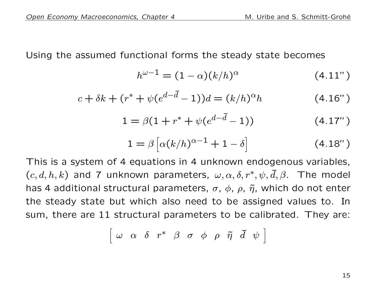Using the assumed functional forms the steady state becomes

$$
h^{\omega - 1} = (1 - \alpha)(k/h)^{\alpha} \tag{4.11'}
$$

$$
c + \delta k + (r^* + \psi(e^{d - \bar{d}} - 1))d = (k/h)^{\alpha}h \tag{4.16'}
$$

$$
1 = \beta(1 + r^* + \psi(e^{d - \bar{d}} - 1))
$$
 (4.17")

$$
1 = \beta \left[ \alpha (k/h)^{\alpha - 1} + 1 - \delta \right] \tag{4.18''}
$$

This is a system of 4 equations in 4 unknown endogenous variables,  $(c, d, h, k)$  and 7 unknown parameters,  $\omega, \alpha, \delta, r^*, \psi, \bar{d}, \beta$ . The model has 4 additional structural parameters,  $\sigma$ ,  $\phi$ ,  $\rho$ ,  $\tilde{\eta}$ , which do not enter the steady state but which also need to be assigned values to. In sum, there are 11 structural parameters to be calibrated. They are:

$$
\left[\begin{array}{ccccccccccccc} \omega & \alpha & \delta & r^* & \beta & \sigma & \phi & \rho & \tilde{\eta} & \bar{d} & \psi \end{array}\right]
$$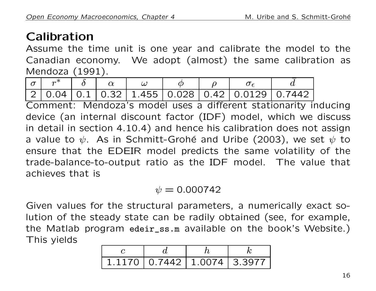## Calibration

Assume the time unit is one year and calibrate the model to the Canadian economy. We adopt (almost) the same calibration as Mendoza (1991).

| $\left  r^* \right $ |  |  |  |                                                                                                                      |
|----------------------|--|--|--|----------------------------------------------------------------------------------------------------------------------|
|                      |  |  |  | $\mid$ 2 $\mid$ 0.04 $\mid$ 0.1 $\mid$ 0.32 $\mid$ 1.455 $\mid$ 0.028 $\mid$ 0.42 $\mid$ 0.0129 $\mid$ 0.7442 $\mid$ |

Comment: Mendoza's model uses a different stationarity inducing device (an internal discount factor (IDF) model, which we discuss in detail in section 4.10.4) and hence his calibration does not assign a value to  $\psi$ . As in Schmitt-Grohé and Uribe (2003), we set  $\psi$  to ensure that the EDEIR model predicts the same volatility of the trade-balance-to-output ratio as the IDF model. The value that achieves that is

## $\psi = 0.000742$

Given values for the structural parameters, a numerically exact solution of the steady state can be radily obtained (see, for example, the Matlab program edeir\_ss.m available on the book's Website.) This yields

| $1.1170$   0.7442   1.0074   3.3977 |  |  |
|-------------------------------------|--|--|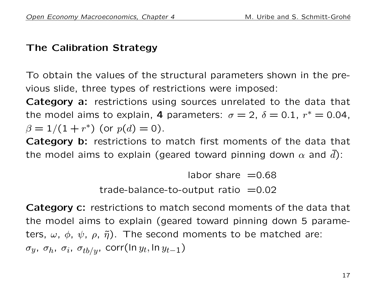## The Calibration Strategy

To obtain the values of the structural parameters shown in the previous slide, three types of restrictions were imposed:

Category a: restrictions using sources unrelated to the data that the model aims to explain, 4 parameters:  $\sigma = 2$ ,  $\delta = 0.1$ ,  $r^* = 0.04$ ,  $\beta = 1/(1 + r^*)$  (or  $p(d) = 0$ ).

Category b: restrictions to match first moments of the data that the model aims to explain (geared toward pinning down  $\alpha$  and d):

> labor share  $=0.68$ trade-balance-to-output ratio  $=0.02$

Category c: restrictions to match second moments of the data that the model aims to explain (geared toward pinning down 5 parameters,  $\omega$ ,  $\phi$ ,  $\psi$ ,  $\rho$ ,  $\tilde{\eta}$ ). The second moments to be matched are:  $\sigma_y,~\sigma_h,~\sigma_i,~\sigma_{tb/y}$ , corr $(\ln y_t,\ln y_{t-1})$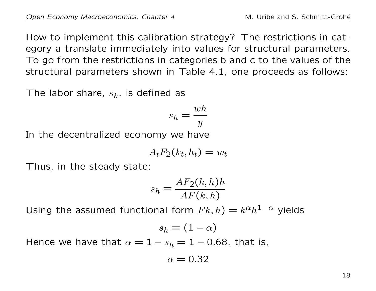How to implement this calibration strategy? The restrictions in category a translate immediately into values for structural parameters. To go from the restrictions in categories b and c to the values of the structural parameters shown in Table 4.1, one proceeds as follows:

The labor share,  $s_h$ , is defined as

$$
s_h = \frac{wh}{y}
$$

In the decentralized economy we have

$$
A_t F_2(k_t, h_t) = w_t
$$

Thus, in the steady state:

$$
s_h = \frac{AF_2(k, h)h}{AF(k, h)}
$$

Using the assumed functional form  $Fk, h$ ) =  $k^{\alpha}h^{1-\alpha}$  yields

$$
s_h=(1-\alpha)
$$

Hence we have that  $\alpha = 1 - s_h = 1 - 0.68$ , that is,

$$
\alpha=0.32
$$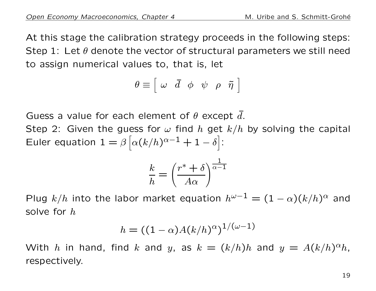At this stage the calibration strategy proceeds in the following steps: Step 1: Let  $\theta$  denote the vector of structural parameters we still need to assign numerical values to, that is, let

$$
\theta \equiv \left[ \begin{array}{cccc} \omega & \bar{d} & \phi & \psi & \rho & \tilde{\eta} \end{array} \right]
$$

Guess a value for each element of  $\theta$  except d.

Step 2: Given the guess for  $\omega$  find h get  $k/h$  by solving the capital Euler equation  $1 = \beta \left[ \alpha (k/h)^{\alpha-1} + 1 - \delta \right]$ :

$$
\frac{k}{h} = \left(\frac{r^* + \delta}{A\alpha}\right)^{\frac{1}{\alpha - 1}}
$$

Plug  $k/h$  into the labor market equation  $h^{\omega-1} = (1-\alpha)(k/h)^{\alpha}$  and solve for h

$$
h=((1-\alpha)A(k/h)^{\alpha})^{1/(\omega-1)}
$$

With h in hand, find k and y, as  $k = (k/h)h$  and  $y = A(k/h)^{\alpha}h$ , respectively.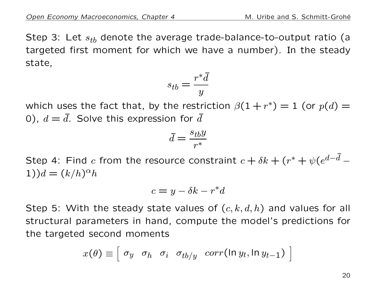Step 3: Let  $s_{tb}$  denote the average trade-balance-to-output ratio (a targeted first moment for which we have a number). In the steady state,

$$
s_{tb} = \frac{r^* \bar{d}}{y}
$$

which uses the fact that, by the restriction  $\beta(1+r^*)=1$  (or  $p(d)=1$ 0),  $d = \bar{d}$ . Solve this expression for  $\bar{d}$ 

$$
\bar{d} = \frac{s_{tb}y}{r^*}
$$

Step 4: Find  $c$  from the resource constraint  $c+\delta k+(r^*+\psi(e^{d-\bar{d}}-r))$ 1)) $d = (k/h)^{\alpha}h$ 

$$
c = y - \delta k - r^*d
$$

Step 5: With the steady state values of  $(c, k, d, h)$  and values for all structural parameters in hand, compute the model's predictions for the targeted second moments

$$
x(\theta) \equiv \left[\begin{array}{cccc} \sigma_y & \sigma_h & \sigma_i & \sigma_{tb/y} & corr(\ln y_t, \ln y_{t-1}) \end{array}\right]
$$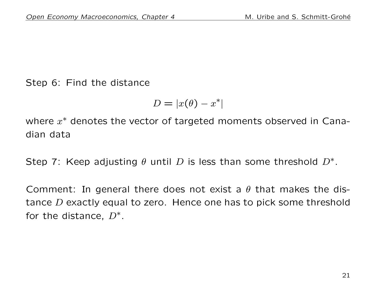Step 6: Find the distance

$$
D=|x(\theta)-x^*|
$$

where  $x^*$  denotes the vector of targeted moments observed in Canadian data

Step 7: Keep adjusting  $\theta$  until D is less than some threshold  $D^*$ .

Comment: In general there does not exist a  $\theta$  that makes the distance D exactly equal to zero. Hence one has to pick some threshold for the distance,  $D^*$ .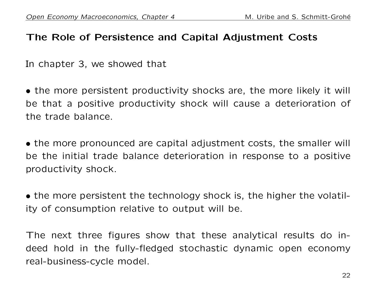## The Role of Persistence and Capital Adjustment Costs

In chapter 3, we showed that

• the more persistent productivity shocks are, the more likely it will be that a positive productivity shock will cause a deterioration of the trade balance.

• the more pronounced are capital adjustment costs, the smaller will be the initial trade balance deterioration in response to a positive productivity shock.

• the more persistent the technology shock is, the higher the volatility of consumption relative to output will be.

The next three figures show that these analytical results do indeed hold in the fully-fledged stochastic dynamic open economy real-business-cycle model.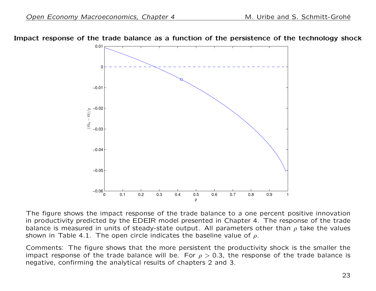



The figure shows the impact response of the trade balance to a one percent positive innovation in productivity predicted by the EDEIR model presented in Chapter 4. The response of the trade balance is measured in units of steady-state output. All parameters other than  $\rho$  take the values shown in Table 4.1. The open circle indicates the baseline value of  $\rho$ .

Comments: The figure shows that the more persistent the productivity shock is the smaller the impact response of the trade balance will be. For  $\rho > 0.3$ , the response of the trade balance is negative, confirming the analytical results of chapters 2 and 3.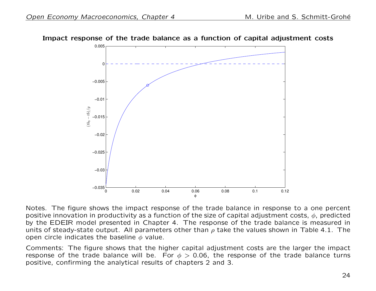

Impact response of the trade balance as a function of capital adjustment costs

Notes. The figure shows the impact response of the trade balance in response to a one percent positive innovation in productivity as a function of the size of capital adjustment costs,  $\phi$ , predicted by the EDEIR model presented in Chapter 4. The response of the trade balance is measured in units of steady-state output. All parameters other than  $\rho$  take the values shown in Table 4.1. The open circle indicates the baseline  $\phi$  value.

Comments: The figure shows that the higher capital adjustment costs are the larger the impact response of the trade balance will be. For  $\phi > 0.06$ , the response of the trade balance turns positive, confirming the analytical results of chapters 2 and 3.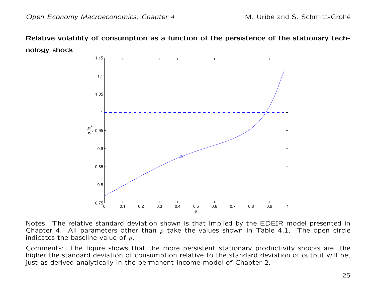Relative volatility of consumption as a function of the persistence of the stationary technology shock



Notes. The relative standard deviation shown is that implied by the EDEIR model presented in Chapter 4. All parameters other than  $\rho$  take the values shown in Table 4.1. The open circle indicates the baseline value of  $\rho$ .

Comments: The figure shows that the more persistent stationary productivity shocks are, the higher the standard deviation of consumption relative to the standard deviation of output will be, just as derived analytically in the permanent income model of Chapter 2.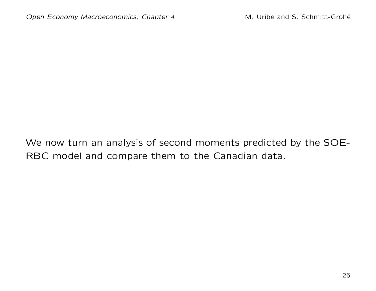We now turn an analysis of second moments predicted by the SOE-RBC model and compare them to the Canadian data.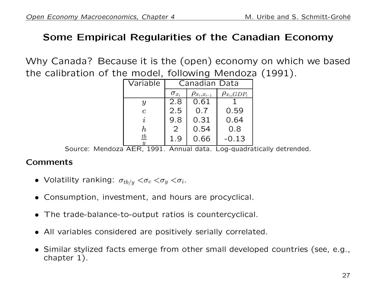### Some Empirical Regularities of the Canadian Economy

Why Canada? Because it is the (open) economy on which we based the calibration of the model, following Mendoza (1991).

| Variable         | Canadian Data  |                      |                    |  |
|------------------|----------------|----------------------|--------------------|--|
|                  | $\sigma_{x_t}$ | $\rho_{x_t,x_{t-1}}$ | $\rho_{x_t,GDP_t}$ |  |
| $\boldsymbol{y}$ | 2.8            | 0.61                 |                    |  |
| $\mathcal{C}$    | 2.5            | 0.7                  | 0.59               |  |
| $\dot{\imath}$   | 9.8            | 0.31                 | 0.64               |  |
| $\bm{h}$         | 2              | 0.54                 | 0.8                |  |
| $\underline{tb}$ | 1.9            | 0.66                 | $-0.13$            |  |

Source: Mendoza AER, 1991. Annual data. Log-quadratically detrended.

#### **Comments**

- Volatility ranking:  $\sigma_{tb/y} < \sigma_c < \sigma_y < \sigma_i$ .
- Consumption, investment, and hours are procyclical.
- The trade-balance-to-output ratios is countercyclical.
- All variables considered are positively serially correlated.
- Similar stylized facts emerge from other small developed countries (see, e.g., chapter 1).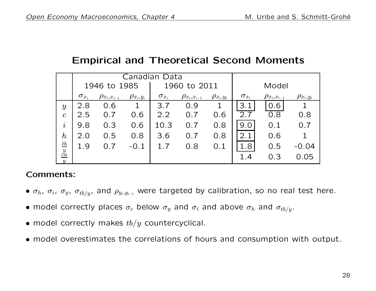## Empirical and Theoretical Second Moments

|                   | Canadian Data  |                      |                  |                |                       |                  |                |                      |                  |
|-------------------|----------------|----------------------|------------------|----------------|-----------------------|------------------|----------------|----------------------|------------------|
|                   | 1946 to 1985   |                      |                  |                | 1960 to 2011          |                  | Model          |                      |                  |
|                   | $\sigma_{x_t}$ | $\rho_{x_t,x_{t-1}}$ | $\rho_{x_t,y_t}$ | $\sigma_{x_t}$ | $\rho_{x_t, x_{t-1}}$ | $\rho_{x_t,y_t}$ | $\sigma_{x_t}$ | $\rho_{x_t,x_{t-1}}$ | $\rho_{x_t,y_t}$ |
| $\mathcal{Y}$     | 2.8            | 0.6                  |                  | 3.7            | 0.9                   | 1                | 3.1            | 0.6                  |                  |
| $\boldsymbol{c}$  | 2.5            | 0.7                  | 0.6              | 2.2            | 0.7                   | 0.6              | 2.7            | 0.8                  | 0.8              |
| $\dot{\imath}$    | 9.8            | 0.3                  | 0.6              | 10.3           | 0.7                   | 0.8              | 9.0            | 0.1                  | 0.7              |
| $\boldsymbol{h}$  | 2.0            | 0.5                  | 0.8              | 3.6            | 0.7                   | 0.8              | 2.1            | 0.6                  |                  |
| $\frac{tb}{y}$ ca | 1.9            | 0.7                  | $-0.1$           | 1.7            | 0.8                   | 0.1              | 1.8            | 0.5                  | $-0.04$          |
| $\boldsymbol{y}$  |                |                      |                  |                |                       |                  | 1.4            | 0.3                  | 0.05             |

#### Comments:

- $\sigma_h$ ,  $\sigma_i$ ,  $\sigma_y$ ,  $\sigma_{tb/y}$ , and  $\rho_{y_t,y_{t-1}}$  were targeted by calibration, so no real test here.
- model correctly places  $\sigma_c$  below  $\sigma_y$  and  $\sigma_i$  and above  $\sigma_h$  and  $\sigma_{tb/y}$ .
- model correctly makes  $tb/y$  countercyclical.
- model overestimates the correlations of hours and consumption with output.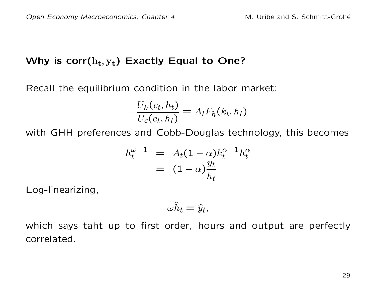## Why is  $\mathsf{corr}(\mathrm{h_t},\mathrm{y_t})$  Exactly Equal to One?

Recall the equilibrium condition in the labor market:

$$
-\frac{U_h(c_t, h_t)}{U_c(c_t, h_t)} = A_t F_h(k_t, h_t)
$$

with GHH preferences and Cobb-Douglas technology, this becomes

$$
h_t^{\omega-1} = A_t (1-\alpha) k_t^{\alpha-1} h_t^{\alpha}
$$
  
= 
$$
(1-\alpha) \frac{y_t}{h_t}
$$

Log-linearizing,

$$
\omega \widehat{h}_t = \widehat{y}_t,
$$

which says taht up to first order, hours and output are perfectly correlated.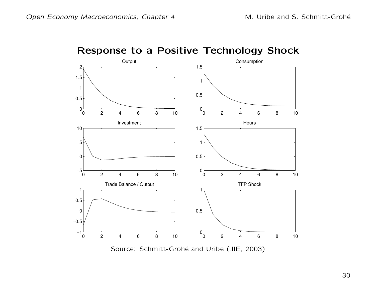

Response to a Positive Technology Shock

Source: Schmitt-Grohé and Uribe (JIE, 2003)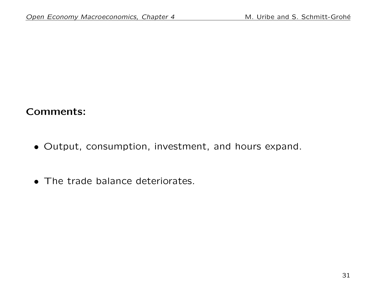## Comments:

- Output, consumption, investment, and hours expand.
- The trade balance deteriorates.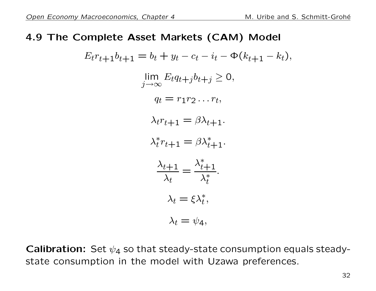#### 4.9 The Complete Asset Markets (CAM) Model

$$
E_t r_{t+1} b_{t+1} = b_t + y_t - c_t - i_t - \Phi(k_{t+1} - k_t),
$$
  
\n
$$
\lim_{j \to \infty} E_t q_{t+j} b_{t+j} \ge 0,
$$
  
\n
$$
q_t = r_1 r_2 \dots r_t,
$$
  
\n
$$
\lambda_t r_{t+1} = \beta \lambda_{t+1}.
$$
  
\n
$$
\lambda_t^* r_{t+1} = \beta \lambda_{t+1}^*.
$$
  
\n
$$
\frac{\lambda_{t+1}}{\lambda_t} = \frac{\lambda_{t+1}^*}{\lambda_t^*}.
$$
  
\n
$$
\lambda_t = \xi \lambda_t^*,
$$
  
\n
$$
\lambda_t = \psi_4,
$$

**Calibration:** Set  $\psi_4$  so that steady-state consumption equals steadystate consumption in the model with Uzawa preferences.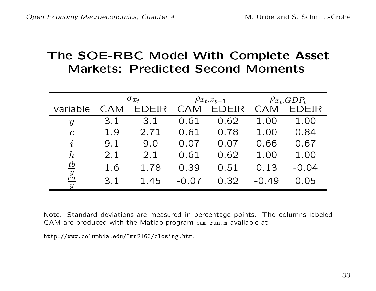## The SOE-RBC Model With Complete Asset Markets: Predicted Second Moments

|                                    | $\sigma_{x_t}$ |              |         | $\rho x_t, x_{t-1}$ | $\rho_{x_t, GDP_t}$ |              |
|------------------------------------|----------------|--------------|---------|---------------------|---------------------|--------------|
| variable                           | CAM            | <b>FDFIR</b> | CAM     | <b>EDEIR</b>        | CAM                 | <b>EDEIR</b> |
| y                                  | 3.1            | 3.1          | 0.61    | 0.62                | 1.00                | 1.00         |
| $\mathcal{C}$                      | 1.9            | 2.71         | 0.61    | 0.78                | 1.00                | 0.84         |
| $\it i$                            | 9.1            | 9.0          | 0.07    | 0.07                | 0.66                | 0.67         |
| $h_{\rm}$                          | 2.1            | 2.1          | 0.61    | 0.62                | 1.00                | 1.00         |
| $\underline{tb}$                   | 1.6            | 1.78         | 0.39    | 0.51                | 0.13                | $-0.04$      |
| $\frac{y}{ca}$<br>$\boldsymbol{y}$ | 3.1            | 1.45         | $-0.07$ | 0.32                | $-0.49$             | 0.05         |

Note. Standard deviations are measured in percentage points. The columns labeled CAM are produced with the Matlab program cam\_run.m available at

http://www.columbia.edu/~mu2166/closing.htm.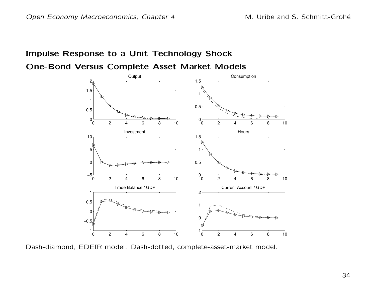## Impulse Response to a Unit Technology Shock One-Bond Versus Complete Asset Market Models

0 2 4 6 8 10  $0<sup>L</sup><sub>0</sub>$ 0.5 1 1.5 2 **Output** 0 2 4 6 8 10  $0^{L}_{0}$ 0.5 1 1.5 Consumption 0 2 4 6 8 10  $-5\frac{L}{0}$  $|0|$ 5 10 Investment 0 2 4 6 8 10  $0\frac{L}{0}$ 0.5 1 1.5 Hours 0 2 4 6 8 10  $-1\frac{L}{0}$ −0.5  $\Omega$ 0.5 1 Trade Balance / GDP 0 2 4 6 8 10 −1 <del>−</del> 0 1 2 Current Account / GDP

Dash-diamond, EDEIR model. Dash-dotted, complete-asset-market model.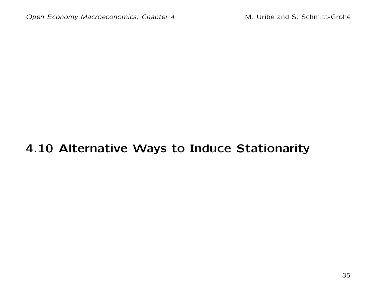# 4.10 Alternative Ways to Induce Stationarity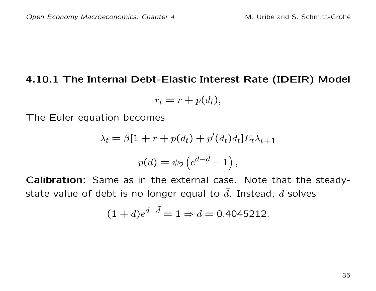### 4.10.1 The Internal Debt-Elastic Interest Rate (IDEIR) Model

$$
r_t = r + p(d_t),
$$

The Euler equation becomes

$$
\lambda_t = \beta[1 + r + p(d_t) + p'(d_t)d_t]E_t\lambda_{t+1}
$$

$$
p(d) = \psi_2 \left( e^{d - \bar{d}} - 1 \right),
$$

Calibration: Same as in the external case. Note that the steadystate value of debt is no longer equal to  $\overline{d}$ . Instead,  $d$  solves

$$
(1+d)e^{d-\bar{d}} = 1 \Rightarrow d = 0.4045212.
$$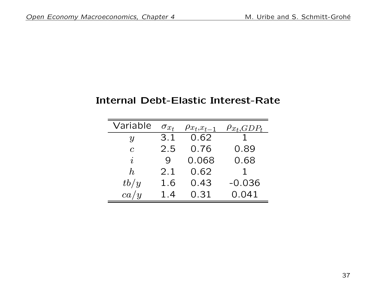### Internal Debt-Elastic Interest-Rate

| Variable                   | $\sigma_{x_t}$ | $\rho_{x_t,x_{t-1}}$ | $\rho_{x_t,GDP_t}$ |
|----------------------------|----------------|----------------------|--------------------|
| $\boldsymbol{\mathcal{U}}$ | 3.1            | 0.62                 |                    |
| $\overline{c}$             | 2.5            | 0.76                 | 0.89               |
| $\dot{i}$                  | Q              | 0.068                | 0.68               |
| $h_{\cdot}$                | 2.1            | 0.62                 |                    |
| tb/y                       | 1.6            | 0.43                 | $-0.036$           |
| ca/y                       | 1.4            | 0.31                 | 0.041              |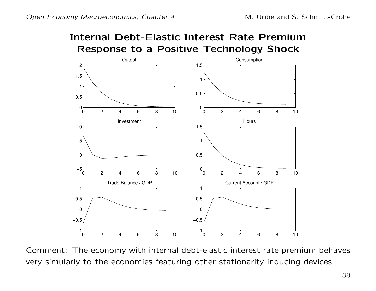## Internal Debt-Elastic Interest Rate Premium Response to a Positive Technology Shock



Comment: The economy with internal debt-elastic interest rate premium behaves very simularly to the economies featuring other stationarity inducing devices.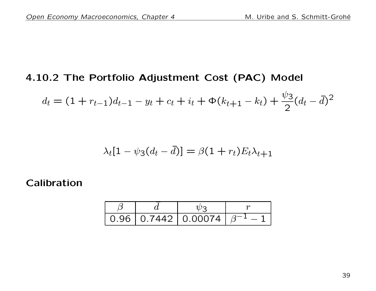### 4.10.2 The Portfolio Adjustment Cost (PAC) Model

$$
d_t = (1 + r_{t-1})d_{t-1} - y_t + c_t + i_t + \Phi(k_{t+1} - k_t) + \frac{\psi_3}{2}(d_t - \bar{d})^2
$$

$$
\lambda_t[1-\psi_3(d_t-\bar{d})]=\beta(1+r_t)E_t\lambda_{t+1}
$$

#### Calibration

|  | 0.96   0.7442   0.00074   $\beta^-$ |  |
|--|-------------------------------------|--|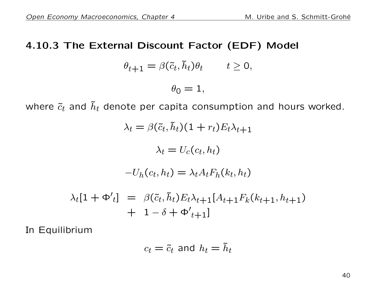### 4.10.3 The External Discount Factor (EDF) Model

$$
\theta_{t+1} = \beta(\tilde{c}_t, \tilde{h}_t)\theta_t \qquad t \ge 0,
$$

 $\theta_0 = 1$ ,

where  $\tilde{c}_t$  and  $\tilde{h}_t$  denote per capita consumption and hours worked.

$$
\lambda_t = \beta(\tilde{c}_t, \tilde{h}_t)(1 + r_t)E_t\lambda_{t+1}
$$

$$
\lambda_t = U_c(c_t, h_t)
$$

$$
-U_h(c_t, h_t) = \lambda_t A_t F_h(k_t, h_t)
$$

$$
\lambda_t [1 + \Phi'_t] = \beta(\tilde{c}_t, \tilde{h}_t) E_t \lambda_{t+1} [A_{t+1} F_k(k_{t+1}, h_{t+1})
$$

$$
+ 1 - \delta + \Phi'_t + 1]
$$

In Equilibrium

$$
c_t = \tilde{c}_t \text{ and } h_t = \tilde{h}_t
$$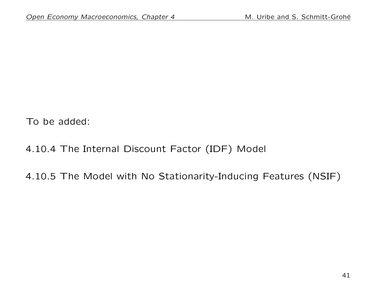To be added:

## 4.10.4 The Internal Discount Factor (IDF) Model

## 4.10.5 The Model with No Stationarity-Inducing Features (NSIF)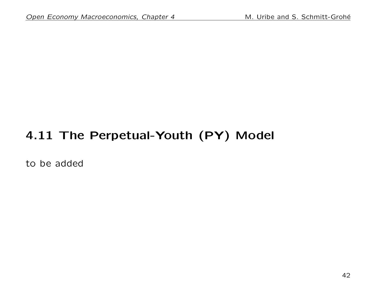# 4.11 The Perpetual-Youth (PY) Model

to be added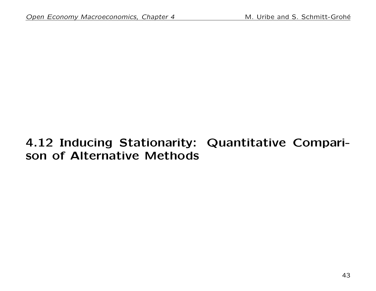## 4.12 Inducing Stationarity: Quantitative Comparison of Alternative Methods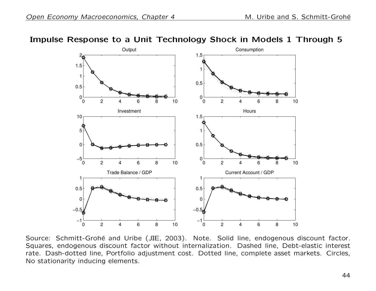



Source: Schmitt-Grohé and Uribe (JIE, 2003). Note. Solid line, endogenous discount factor. Squares, endogenous discount factor without internalization. Dashed line, Debt-elastic interest rate. Dash-dotted line, Portfolio adjustment cost. Dotted line, complete asset markets. Circles, No stationarity inducing elements.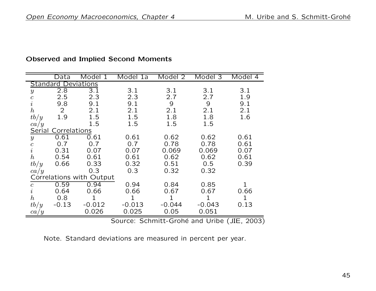|                  | Data                       | Model 1                  | Model 1a | Model <sub>2</sub> | Model 3  | Model 4 |  |  |  |
|------------------|----------------------------|--------------------------|----------|--------------------|----------|---------|--|--|--|
|                  | <b>Standard Deviations</b> |                          |          |                    |          |         |  |  |  |
| $\boldsymbol{y}$ | 2.8                        | 3.1                      | 3.1      | 3.1                | 3.1      | 3.1     |  |  |  |
| $\boldsymbol{c}$ | 2.5                        | 2.3                      | 2.3      | 2.7                | 2.7      | 1.9     |  |  |  |
| $\dot{\imath}$   | 9.8                        | 9.1                      | 9.1      | 9                  | 9        | 9.1     |  |  |  |
| $\boldsymbol{h}$ | $\overline{2}$             | 2.1                      | 2.1      | 2.1                | 2.1      | 2.1     |  |  |  |
| tb/y             | 1.9                        | 1.5                      | 1.5      | 1.8                | 1.8      | 1.6     |  |  |  |
| ca/y             |                            | 1.5                      | 1.5      | 1.5                | 1.5      |         |  |  |  |
| Serial           | Correlations               |                          |          |                    |          |         |  |  |  |
| $\boldsymbol{y}$ | 0.61                       | 0.61                     | 0.61     | 0.62               | 0.62     | 0.61    |  |  |  |
|                  | 0.7                        | 0.7                      | 0.7      | 0.78               | 0.78     | 0.61    |  |  |  |
| $\frac{c}{i}$    | 0.31                       | 0.07                     | 0.07     | 0.069              | 0.069    | 0.07    |  |  |  |
| $\boldsymbol{h}$ | 0.54                       | 0.61                     | 0.61     | 0.62               | 0.62     | 0.61    |  |  |  |
| tb/y             | 0.66                       | 0.33                     | 0.32     | 0.51               | 0.5      | 0.39    |  |  |  |
| ca/y             |                            | 0.3                      | 0.3      | 0.32               | 0.32     |         |  |  |  |
|                  |                            | Correlations with Output |          |                    |          |         |  |  |  |
| $\mathfrak c$    | 0.59                       | 0.94                     | 0.94     | 0.84               | 0.85     |         |  |  |  |
| $\dot{\imath}$   | 0.64                       | 0.66                     | 0.66     | 0.67               | 0.67     | 0.66    |  |  |  |
| $\boldsymbol{h}$ | 0.8                        |                          |          |                    |          |         |  |  |  |
| tb/y             | $-0.13$                    | $-0.012$                 | $-0.013$ | $-0.044$           | $-0.043$ | 0.13    |  |  |  |
| ca/y             |                            | 0.026                    | 0.025    | 0.05               | 0.051    |         |  |  |  |

#### Observed and Implied Second Moments

Source: Schmitt-Grohé and Uribe (JIE, 2003)

Note. Standard deviations are measured in percent per year.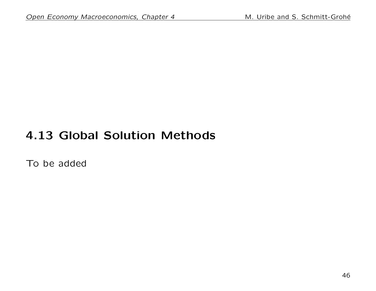## 4.13 Global Solution Methods

To be added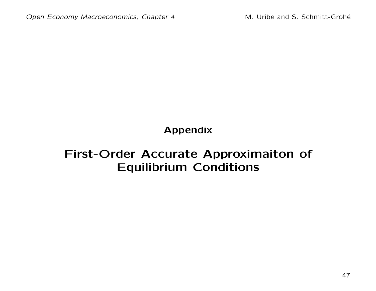Appendix

## First-Order Accurate Approximaiton of Equilibrium Conditions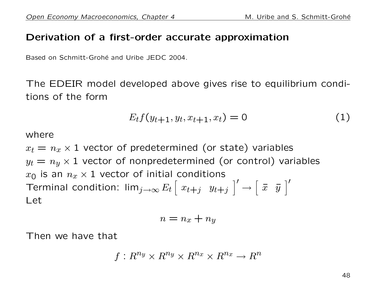### Derivation of a first-order accurate approximation

Based on Schmitt-Grohé and Uribe JEDC 2004.

The EDEIR model developed above gives rise to equilibrium conditions of the form

$$
E_t f(y_{t+1}, y_t, x_{t+1}, x_t) = 0 \tag{1}
$$

where

 $x_t = n_x \times 1$  vector of predetermined (or state) variables  $y_t = n_y \times 1$  vector of nonpredetermined (or control) variables  $x_0$  is an  $n_x \times 1$  vector of initial conditions Terminal condition: lim $_{j\rightarrow\infty}E_{t}\left[\begin{array}{lll} x_{t+j} & y_{t+j} \end{array}\right]$  $\vert'$  $\longrightarrow$  $\left[\begin{array}{cc} \overline{x} & \overline{y} \end{array}\right]$  $\vert'$ Let

$$
n = n_x + n_y
$$

Then we have that

$$
f: R^{n_y} \times R^{n_y} \times R^{n_x} \times R^{n_x} \rightarrow R^n
$$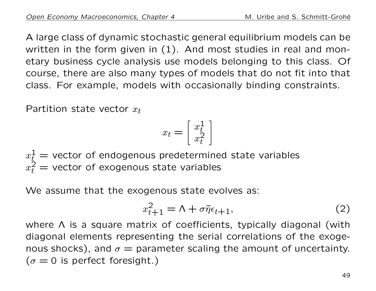A large class of dynamic stochastic general equilibrium models can be written in the form given in (1). And most studies in real and monetary business cycle analysis use models belonging to this class. Of course, there are also many types of models that do not fit into that class. For example, models with occasionally binding constraints.

Partition state vector  $x_t$ 

$$
x_t = \left[\begin{array}{c} x_t^1 \\ x_t^2 \end{array}\right]
$$

 $x_{t}^{1}=% \mathbb{R} _{n}$  = vector of endogenous predetermined state variables  $x_t^{\tilde{2}}=$  vector of exogenous state variables

We assume that the exogenous state evolves as:

$$
x_{t+1}^2 = \Lambda + \sigma \tilde{\eta} \epsilon_{t+1}, \tag{2}
$$

where Λ is a square matrix of coefficients, typically diagonal (with diagonal elements representing the serial correlations of the exogenous shocks), and  $\sigma =$  parameter scaling the amount of uncertainty.  $(\sigma = 0$  is perfect foresight.)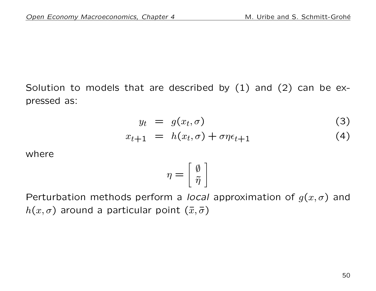Solution to models that are described by  $(1)$  and  $(2)$  can be expressed as:

$$
y_t = g(x_t, \sigma) \tag{3}
$$

$$
x_{t+1} = h(x_t, \sigma) + \sigma \eta \epsilon_{t+1} \tag{4}
$$

where

$$
\eta = \left[\begin{array}{c} \emptyset \\ \tilde{\eta} \end{array}\right]
$$

Perturbation methods perform a *local* approximation of  $g(x, \sigma)$  and  $h(x, \sigma)$  around a particular point  $(\bar{x}, \bar{\sigma})$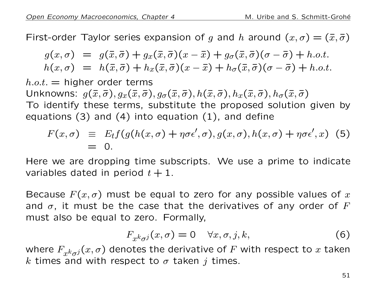First-order Taylor series expansion of g and h around  $(x, \sigma) = (\bar{x}, \bar{\sigma})$ 

$$
g(x,\sigma) = g(\bar{x},\bar{\sigma}) + g_x(\bar{x},\bar{\sigma})(x-\bar{x}) + g_{\sigma}(\bar{x},\bar{\sigma})(\sigma-\bar{\sigma}) + h.o.t.
$$
  

$$
h(x,\sigma) = h(\bar{x},\bar{\sigma}) + h_x(\bar{x},\bar{\sigma})(x-\bar{x}) + h_{\sigma}(\bar{x},\bar{\sigma})(\sigma-\bar{\sigma}) + h.o.t.
$$

 $h.o.t.$  = higher order terms Unknowns:  $g(\bar{x}, \bar{\sigma}), g_x(\bar{x}, \bar{\sigma}), g_{\sigma}(\bar{x}, \bar{\sigma}), h(\bar{x}, \bar{\sigma}), h_x(\bar{x}, \bar{\sigma}), h_{\sigma}(\bar{x}, \bar{\sigma})$ To identify these terms, substitute the proposed solution given by equations (3) and (4) into equation (1), and define

$$
F(x,\sigma) \equiv E_t f(g(h(x,\sigma) + \eta \sigma \epsilon', \sigma), g(x,\sigma), h(x,\sigma) + \eta \sigma \epsilon', x)
$$
 (5)  
= 0.

Here we are dropping time subscripts. We use a prime to indicate variables dated in period  $t + 1$ .

Because  $F(x, \sigma)$  must be equal to zero for any possible values of x and  $\sigma$ , it must be the case that the derivatives of any order of F must also be equal to zero. Formally,

$$
F_{x^k \sigma^j}(x, \sigma) = 0 \quad \forall x, \sigma, j, k,
$$
 (6)

where  $F_{x^k\sigma^j}(x,\sigma)$  denotes the derivative of  $F$  with respect to  $x$  taken k times and with respect to  $\sigma$  taken j times.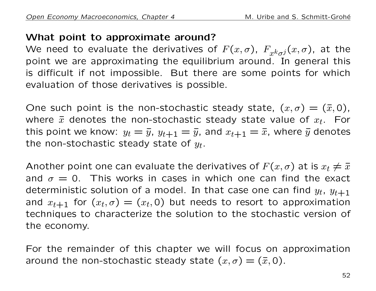## What point to approximate around?

We need to evaluate the derivatives of  $F(x,\sigma)$ ,  $F_{x^k\sigma^j}(x,\sigma)$ , at the point we are approximating the equilibrium around. In general this is difficult if not impossible. But there are some points for which evaluation of those derivatives is possible.

One such point is the non-stochastic steady state,  $(x, \sigma) = (\bar{x}, 0)$ , where  $\bar{x}$  denotes the non-stochastic steady state value of  $x_t$ . For this point we know:  $y_t = \bar{y}$ ,  $y_{t+1} = \bar{y}$ , and  $x_{t+1} = \bar{x}$ , where  $\bar{y}$  denotes the non-stochastic steady state of  $y_t$ .

Another point one can evaluate the derivatives of  $F(x, \sigma)$  at is  $x_t \neq \overline{x}$ and  $\sigma = 0$ . This works in cases in which one can find the exact deterministic solution of a model. In that case one can find  $y_t$ ,  $y_{t+1}$ and  $x_{t+1}$  for  $(x_t, \sigma) = (x_t, 0)$  but needs to resort to approximation techniques to characterize the solution to the stochastic version of the economy.

For the remainder of this chapter we will focus on approximation around the non-stochastic steady state  $(x, \sigma) = (\bar{x}, 0)$ .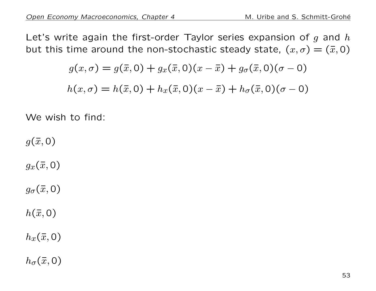Let's write again the first-order Taylor series expansion of  $g$  and  $h$ but this time around the non-stochastic steady state,  $(x, \sigma) = (\bar{x}, 0)$ 

$$
g(x, \sigma) = g(\bar{x}, 0) + g_x(\bar{x}, 0)(x - \bar{x}) + g_{\sigma}(\bar{x}, 0)(\sigma - 0)
$$

$$
h(x, \sigma) = h(\bar{x}, 0) + h_x(\bar{x}, 0)(x - \bar{x}) + h_{\sigma}(\bar{x}, 0)(\sigma - 0)
$$

We wish to find:

 $g(\bar{x}, 0)$ 

 $g_x(\bar{x},0)$ 

 $g_{\sigma}(\bar{x},0)$ 

 $h(\bar{x}, 0)$ 

 $h_x(\bar{x},0)$ 

 $h_{\sigma}(\bar{x},0)$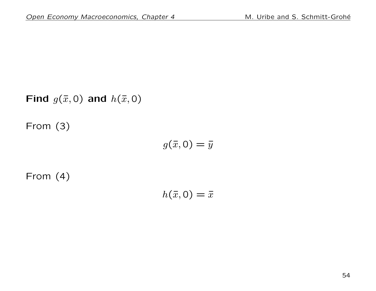Find  $g(\bar{x}, 0)$  and  $h(\bar{x}, 0)$ 

From (3)

$$
g(\bar{x},0)=\bar{y}
$$

From (4)

$$
h(\bar{x},0)=\bar{x}
$$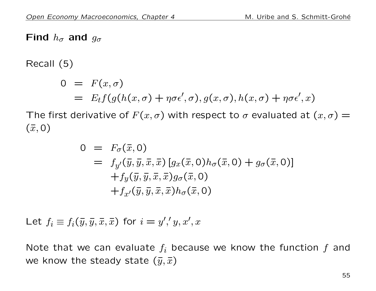## Find  $h_{\sigma}$  and  $g_{\sigma}$

Recall (5)

$$
0 = F(x, \sigma)
$$
  
=  $E_t f(g(h(x, \sigma) + \eta \sigma \epsilon', \sigma), g(x, \sigma), h(x, \sigma) + \eta \sigma \epsilon', x)$ 

The first derivative of  $F(x, \sigma)$  with respect to  $\sigma$  evaluated at  $(x, \sigma)$  =  $(\bar{x}, 0)$ 

$$
0 = F_{\sigma}(\bar{x}, 0)
$$
  
=  $f_{y'}(\bar{y}, \bar{y}, \bar{x}, \bar{x}) [g_x(\bar{x}, 0)h_{\sigma}(\bar{x}, 0) + g_{\sigma}(\bar{x}, 0)]$   
+ $f_y(\bar{y}, \bar{y}, \bar{x}, \bar{x})g_{\sigma}(\bar{x}, 0)$   
+ $f_{x'}(\bar{y}, \bar{y}, \bar{x}, \bar{x})h_{\sigma}(\bar{x}, 0)$ 

Let  $f_i \equiv f_i(\bar{y}, \bar{y}, \bar{x}, \bar{x})$  for  $i = y', y, x', x'$ 

Note that we can evaluate  $f_i$  because we know the function f and we know the steady state  $(\bar{y}, \bar{x})$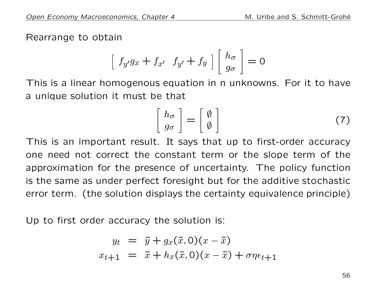Rearrange to obtain

$$
\left[\begin{array}{cc} f_{y'}g_x + f_{x'} & f_{y'} + f_y \end{array}\right] \left[\begin{array}{c} h_{\sigma} \\ g_{\sigma} \end{array}\right] = 0
$$

This is a linear homogenous equation in n unknowns. For it to have a unique solution it must be that

$$
\left[\begin{array}{c} h_{\sigma} \\ g_{\sigma} \end{array}\right] = \left[\begin{array}{c} \emptyset \\ \emptyset \end{array}\right] \tag{7}
$$

This is an important result. It says that up to first-order accuracy one need not correct the constant term or the slope term of the approximation for the presence of uncertainty. The policy function is the same as under perfect foresight but for the additive stochastic error term. (the solution displays the certainty equivalence principle)

Up to first order accuracy the solution is:

$$
y_t = \overline{y} + g_x(\overline{x}, 0)(x - \overline{x})
$$
  

$$
x_{t+1} = \overline{x} + h_x(\overline{x}, 0)(x - \overline{x}) + \sigma \eta \epsilon_{t+1}
$$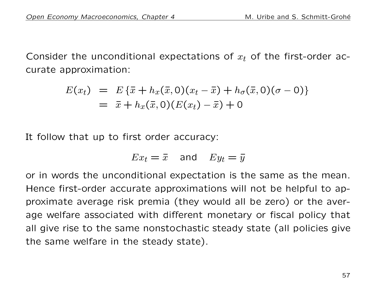Consider the unconditional expectations of  $x_t$  of the first-order accurate approximation:

$$
E(x_t) = E\{\bar{x} + h_x(\bar{x}, 0)(x_t - \bar{x}) + h_\sigma(\bar{x}, 0)(\sigma - 0)\}
$$
  
=  $\bar{x} + h_x(\bar{x}, 0)(E(x_t) - \bar{x}) + 0$ 

It follow that up to first order accuracy:

$$
Ex_t = \bar{x} \quad \text{and} \quad Ey_t = \bar{y}
$$

or in words the unconditional expectation is the same as the mean. Hence first-order accurate approximations will not be helpful to approximate average risk premia (they would all be zero) or the average welfare associated with different monetary or fiscal policy that all give rise to the same nonstochastic steady state (all policies give the same welfare in the steady state).